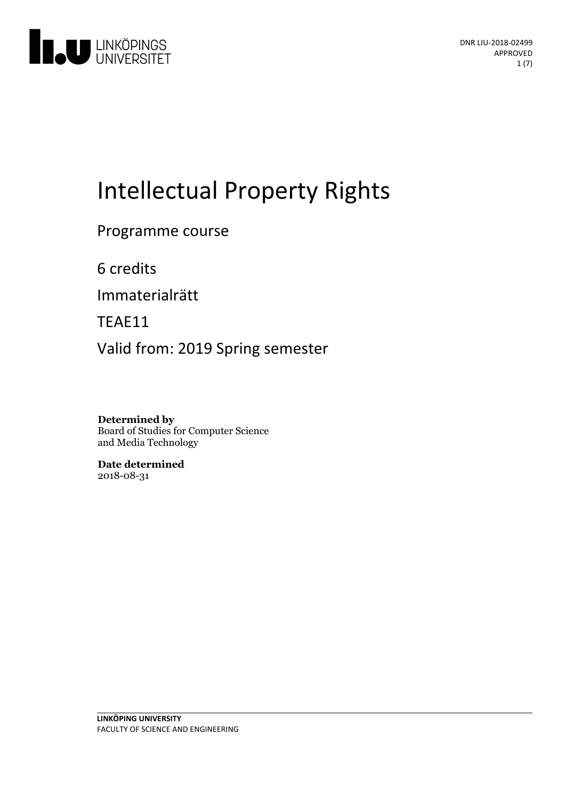

# Intellectual Property Rights

Programme course

6 credits

Immaterialrätt

TEAE11

Valid from: 2019 Spring semester

**Determined by** Board of Studies for Computer Science and Media Technology

**Date determined** 2018-08-31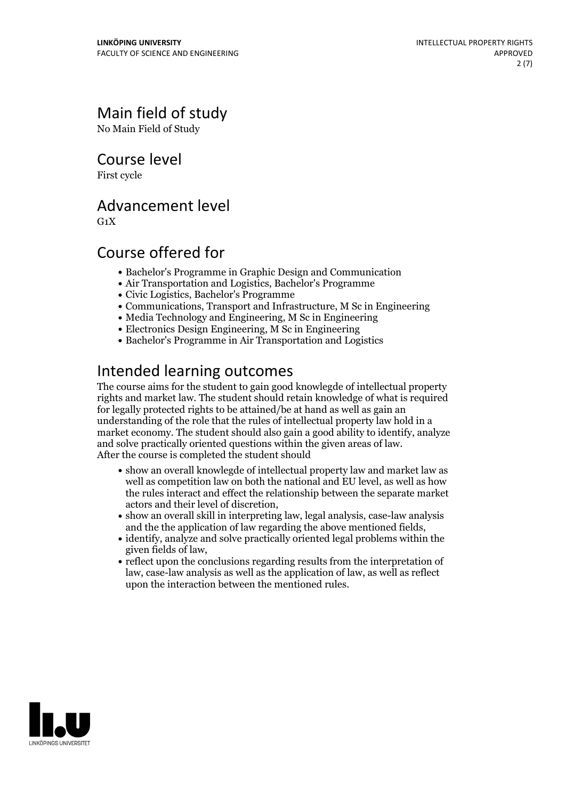# Main field of study

No Main Field of Study

Course level

First cycle

## Advancement level

 $G_1X$ 

# Course offered for

- Bachelor's Programme in Graphic Design and Communication
- Air Transportation and Logistics, Bachelor's Programme
- Civic Logistics, Bachelor's Programme
- Communications, Transport and Infrastructure, M Sc in Engineering
- Media Technology and Engineering, M Sc in Engineering
- Electronics Design Engineering, M Sc in Engineering
- Bachelor's Programme in Air Transportation and Logistics

# Intended learning outcomes

The course aims for the student to gain good knowlegde of intellectual property rights and market law. The student should retain knowledge of what is required for legally protected rights to be attained/be at hand as well as gain an understanding of the role that the rules of intellectual property law hold in a market economy. The student should also gain a good ability to identify, analyze and solve practically oriented questions within the given areas of law. After the course is completed the student should

- show an overall knowlegde of intellectual property law and market law as well as competition law on both the national and EU level, as well as how the rules interact and effect the relationship between the separate market
- $\bullet$  show an overall skill in interpreting law, legal analysis, case-law analysis and the the application of law regarding the above mentioned fields,<br>• identify, analyze and solve practically oriented legal problems within the
- given fields of law,<br>• reflect upon the conclusions regarding results from the interpretation of
- law, case-law analysis as well as the application of law, as well as reflect upon the interaction between the mentioned rules.

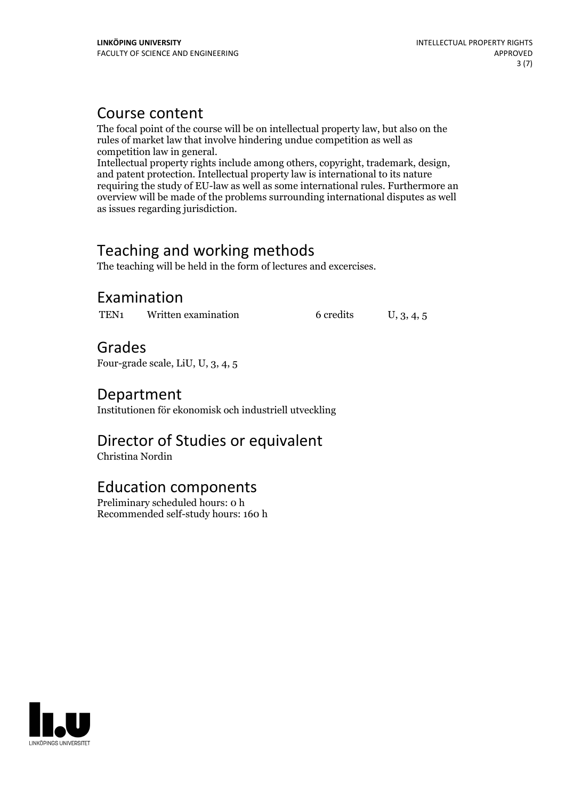# Course content

The focal point of the course will be on intellectual property law, but also on the rules of market law that involve hindering undue competition aswell as

competition law ingeneral. Intellectual property rights include among others, copyright, trademark, design, and patent protection. Intellectual property law is international to its nature requiring the study of EU-law as well as some international rules. Furthermore an overview will be made ofthe problems surrounding international disputes as well as issues regarding jurisdiction.

# Teaching and working methods

The teaching will be held in the form of lectures and excercises.

# Examination

TEN<sub>1</sub> Written examination 6 credits U, 3, 4, 5

Grades Four-grade scale, LiU, U, 3, 4, 5

# Department

Institutionen för ekonomisk och industriell utveckling

# Director of Studies or equivalent

Christina Nordin

## Education components

Preliminary scheduled hours: 0 h Recommended self-study hours: 160 h

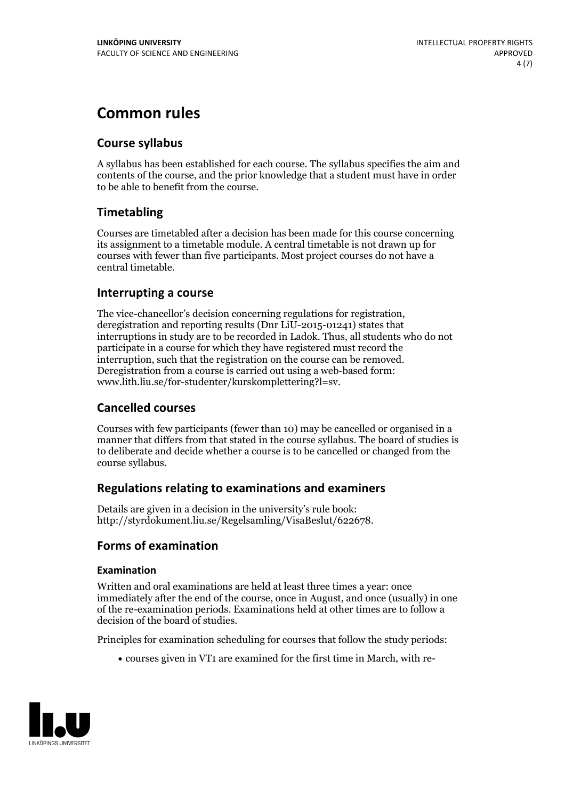# **Common rules**

#### **Course syllabus**

A syllabus has been established for each course. The syllabus specifies the aim and contents of the course, and the prior knowledge that a student must have in order to be able to benefit from the course.

#### **Timetabling**

Courses are timetabled after a decision has been made for this course concerning its assignment to a timetable module. A central timetable is not drawn up for courses with fewer than five participants. Most project courses do not have a central timetable.

#### **Interrupting a course**

The vice-chancellor's decision concerning regulations for registration, deregistration and reporting results (Dnr LiU-2015-01241) states that interruptions in study are to be recorded in Ladok. Thus, all students who do not participate in a course for which they have registered must record the interruption, such that the registration on the course can be removed. Deregistration from <sup>a</sup> course is carried outusing <sup>a</sup> web-based form: www.lith.liu.se/for-studenter/kurskomplettering?l=sv.

#### **Cancelled courses**

Courses with few participants (fewer than 10) may be cancelled or organised in a manner that differs from that stated in the course syllabus. The board of studies is to deliberate and decide whether a course is to be cancelled orchanged from the course syllabus.

#### **Regulations relatingto examinations and examiners**

Details are given in a decision in the university's rule book: http://styrdokument.liu.se/Regelsamling/VisaBeslut/622678.

#### **Forms of examination**

#### **Examination**

Written and oral examinations are held at least three times a year: once immediately after the end of the course, once in August, and once (usually) in one of the re-examination periods. Examinations held at other times are to follow a decision of the board of studies.

Principles for examination scheduling for courses that follow the study periods:

courses given in VT1 are examined for the first time in March, with re-

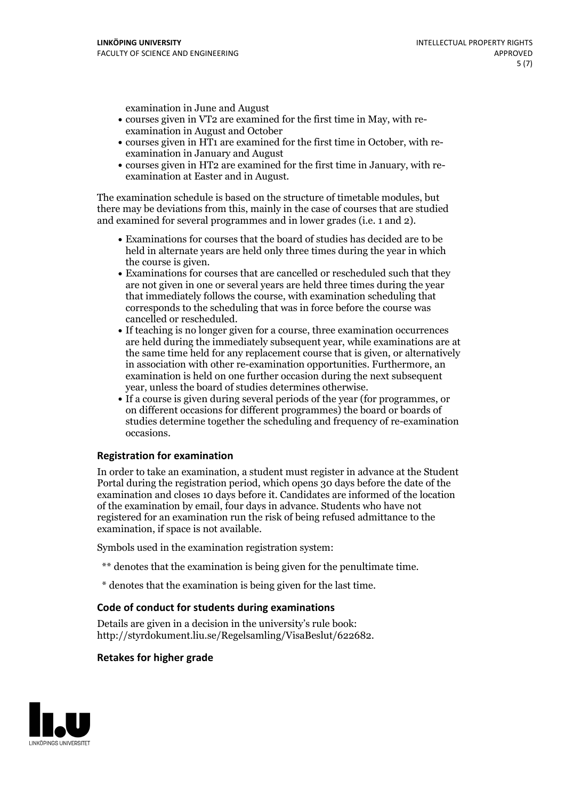examination in June and August

- courses given in VT2 are examined for the first time in May, with re-examination in August and October
- courses given in HT1 are examined for the first time in October, with re-examination in January and August
- courses given in HT2 are examined for the first time in January, with re-examination at Easter and in August.

The examination schedule is based on the structure of timetable modules, but there may be deviations from this, mainly in the case of courses that are studied and examined for several programmes and in lower grades (i.e. 1 and 2).

- Examinations for courses that the board of studies has decided are to be held in alternate years are held only three times during the year in which
- the course is given.<br>• Examinations for courses that are cancelled or rescheduled such that they are not given in one or several years are held three times during the year that immediately follows the course, with examination scheduling that corresponds to the scheduling that was in force before the course was cancelled or rescheduled.<br>• If teaching is no longer given for a course, three examination occurrences
- are held during the immediately subsequent year, while examinations are at the same time held for any replacement course that is given, or alternatively in association with other re-examination opportunities. Furthermore, an examination is held on one further occasion during the next subsequent year, unless the board of studies determines otherwise.<br>• If a course is given during several periods of the year (for programmes, or
- on different occasions for different programmes) the board orboards of studies determine together the scheduling and frequency of re-examination occasions.

#### **Registration for examination**

In order to take an examination, a student must register in advance at the Student Portal during the registration period, which opens 30 days before the date of the examination and closes 10 days before it. Candidates are informed of the location of the examination by email, four days in advance. Students who have not registered for an examination run the risk of being refused admittance to the examination, if space is not available.

Symbols used in the examination registration system:

- \*\* denotes that the examination is being given for the penultimate time.
- \* denotes that the examination is being given for the last time.

#### **Code of conduct for students during examinations**

Details are given in a decision in the university's rule book: http://styrdokument.liu.se/Regelsamling/VisaBeslut/622682.

#### **Retakes for higher grade**

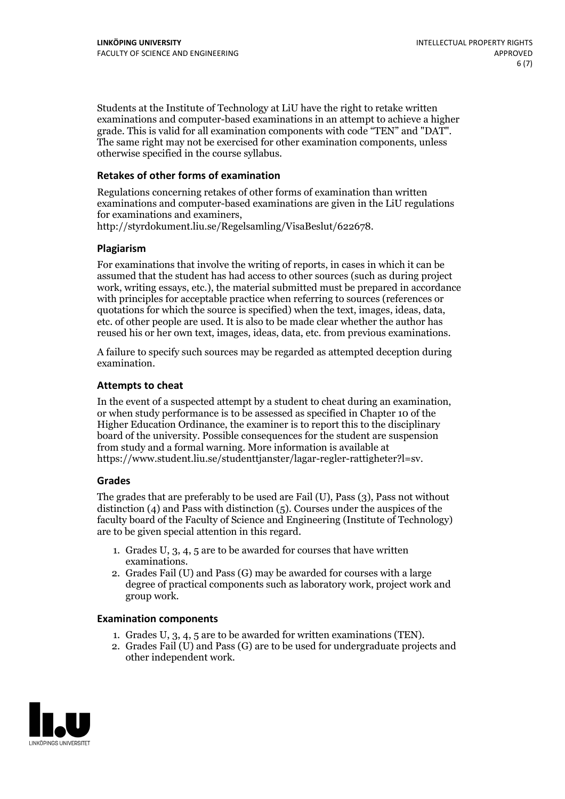Students at the Institute of Technology at LiU have the right to retake written examinations and computer-based examinations in an attempt to achieve a higher grade. This is valid for all examination components with code "TEN" and "DAT". The same right may not be exercised for other examination components, unless otherwise specified in the course syllabus.

#### **Retakes of other forms of examination**

Regulations concerning retakes of other forms of examination than written examinations and computer-based examinations are given in the LiU regulations for examinations and examiners, http://styrdokument.liu.se/Regelsamling/VisaBeslut/622678.

#### **Plagiarism**

For examinations that involve the writing of reports, in cases in which it can be assumed that the student has had access to other sources (such as during project work, writing essays, etc.), the material submitted must be prepared in accordance with principles for acceptable practice when referring to sources (references or quotations for which the source is specified) when the text, images, ideas, data, etc. of other people are used. It is also to be made clear whether the author has reused his or her own text, images, ideas, data, etc. from previous examinations.

A failure to specify such sources may be regarded as attempted deception during examination.

#### **Attempts to cheat**

In the event of <sup>a</sup> suspected attempt by <sup>a</sup> student to cheat during an examination, or when study performance is to be assessed as specified in Chapter <sup>10</sup> of the Higher Education Ordinance, the examiner is to report this to the disciplinary board of the university. Possible consequences for the student are suspension from study and a formal warning. More information is available at https://www.student.liu.se/studenttjanster/lagar-regler-rattigheter?l=sv.

#### **Grades**

The grades that are preferably to be used are Fail (U), Pass (3), Pass not without distinction  $(4)$  and Pass with distinction  $(5)$ . Courses under the auspices of the faculty board of the Faculty of Science and Engineering (Institute of Technology) are to be given special attention in this regard.

- 1. Grades U, 3, 4, 5 are to be awarded for courses that have written
- examinations. 2. Grades Fail (U) and Pass (G) may be awarded for courses with <sup>a</sup> large degree of practical components such as laboratory work, project work and group work.

#### **Examination components**

- 
- 1. Grades U, 3, 4, <sup>5</sup> are to be awarded for written examinations (TEN). 2. Grades Fail (U) and Pass (G) are to be used for undergraduate projects and other independent work.